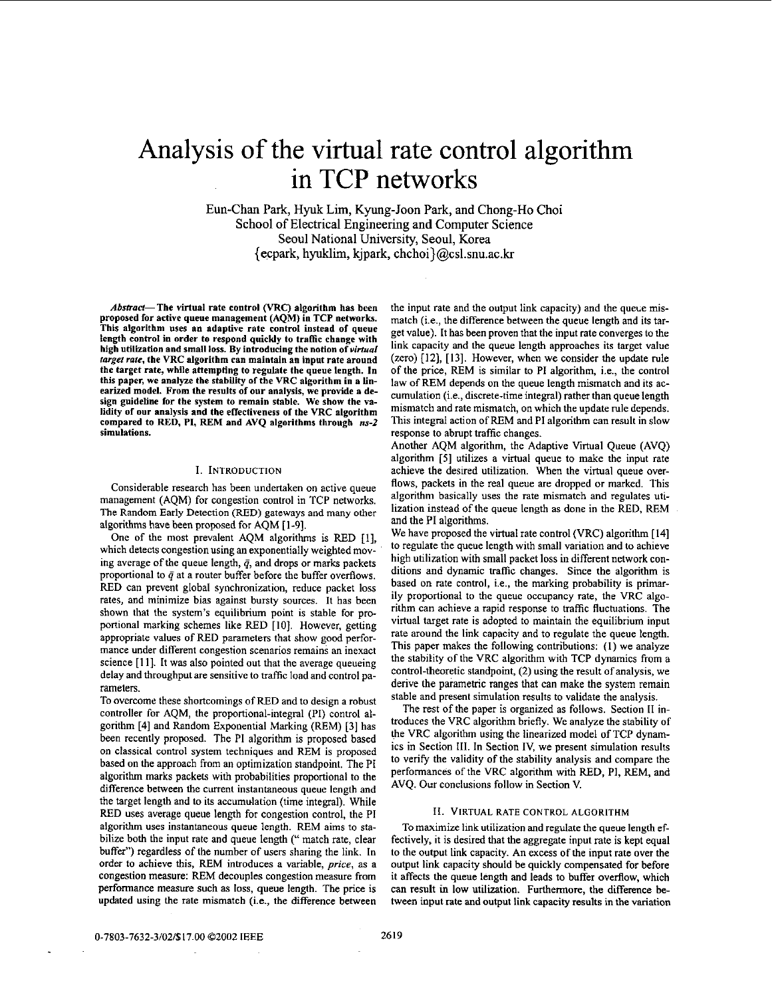# Analysis of the virtual rate control algorithm in TCP networks

Eun-Chan Park, Hyuk Lim, Kyung-Joan Park, and Chong-Ha Choi School of Electrical Engineering and Computer Science Seoul National University, Seoul, Korea {ecpark, hyuklim, kjpark, chchoi}@csl.snu.ac.kr

Abstract-The virtual rate control (VRC) algorithm has been proposed for active queue management **(AQM)** in TCP **networks.**  This algorithm uses an adaptive rate control instead of queue length **control** in order to respond quickly to traffic change with high utilization and small loss. By introducing the notion of *virtual target rate,* the VRC algorithm **can** maintain an input rate around the target rate, while attempting to regulate the queue length. In this paper, we analyze the stability of the VRC algorithm in a linearized model. From the results of our analysis, we provide a design guideline for the system to remain stable. We show the validity **of our** anslysis and the effectiveness **of** the VRC algorithm compared to RED, PI, **REM** and **AVQ** algorithms through *ns-2*  simulations.

## **1.** INTRODUCTION

Considerable research has been undertaken on active queue management (AQM) for congestion control in TCP networks. The Random Early Detection (RED) gateways and many **other**  algorithms have been proposed for AQM [ **1-91,** 

One of the most prevalent AQM algorithms is RED [I], which detects congestion using an exponentially weighted moving average of the queue length,  $\bar{q}$ , and drops or marks packets proportional to  $\bar{q}$  at a router buffer before the buffer overflows. RED can prevent global synchronization, reduce packet loss rates, and minimize bias against bursty sources. It has been shown that the system's equilibrium point is stable for proportional marking schemes like RED [IO]. However, getting appropriate values of RED parameters that show good performance under different congestion scenarios remains an inexact science **[I I].** It was also pointed out that the average queueing delay and throughput are sensitive to traffic load and control parameters.

To overcome these shortcomings ofRED and to design a robust controller for AQM, the proportional-integral (PI) control algorithm [4] and Random Exponential Marking (REM) *[3]* has been recently proposed. The PI algorithm is proposed based on classical control system techniques and REM is proposed based on the approach from an optimization standpoint. The PI algorithm marks packets with probabilities proportional to the difference between the current instantaneous queue length and the target length and to its accumulation (time integral). While RED uses average queue length for congestion control, the PI algorithm uses instantaneous queue length. REM aims to stabilize both the input rate and queue length (" match rate, clear buffer") regardless of the number of users sharing the link. In order to achieve this, REM introduces a variable, price, as a congestion measure: REM decouples congestion measure from performance measwe such as loss, queue length. The price is updated using the rate mismatch (i.e., the difference between

the input rate and the output link capacity) and the queue mismatch (i.e., the difference between the queue length and its target value). It has been proven that the input rate converges to the link capacity and the queue length approaches its target value (zero) **[12], [13].** However, when we consider the update rule of the price, REM is similar to PI algorithm, i.e., the control law of REM depends on the queue length mismatch and its accumulation (i.e., discrete-time integral) rather than queue length mismatch and rate mismatch, on which the update rule depends. This integral action of REM and PI algorithm can result in slow response to abrupt traffic changes.

Another AQM algorithm, the Adaptive Wrtual Queue (AVQ) algorithm **[SI** utilizes a virtual queue to make the input rate achieve the desired utilization. When the virtual queue overflows, packets in the real queue are dropped or marked. This algorithm basically uses the rate mismatch and regulates utilization instead of the queue length as done in the RED, REM and the PI algorithms.

We have proposed the virtual rate control (VRC) algorithm **[I41**  to regulate the queue length with small variation and to achieve high utilization with small packet loss in different network conditions and dynamic traffic changes. Since the algorithm is based on rate control, i.e., the marking probability is primarily proportional to the queue occupancy rate, the VRC algorithm can achieve a rapid response to traffic fluctuations. The virtual target rate is adopted to maintain the equilibrium input rate around the link capacity and to regulate the queue length. This paper makes the following contributions: (I) we analyze the stability of the VRC algorithm with TCP dynamics from a control-theoretic standpoint,  $(2)$  using the result of analysis, we derive the parametric ranges that can make **the** system remain stable and present simulation results to validate the analysis.

The rest of the paper is organized as follows. Section **I1** introduces the VRC algorithm briefly. We analyze the stability of the VRC algorithm using the linearized model of TCP dynamics in Section **Ill.** In Section IV, we present simulation results to verify the validity of the stability analysis and compare the performances of the VRC algorithm with RED, PI, REM, and AVQ. Our conclusions follow in Section V.

## **11.** VIRTUAL RATE CONTROL **ALGORITHM**

To maximize link utilization and regulate the queue length effectively. it is desired that the aggregate input rate is kept equal to the output link capacity. An excess of the input rate over the output link capacity should be quickly compensated for before it affects the queue length and leads to buffer overflow, which can result in low utilization. Furthermore, the difference between input rate and output link capacity results in the variation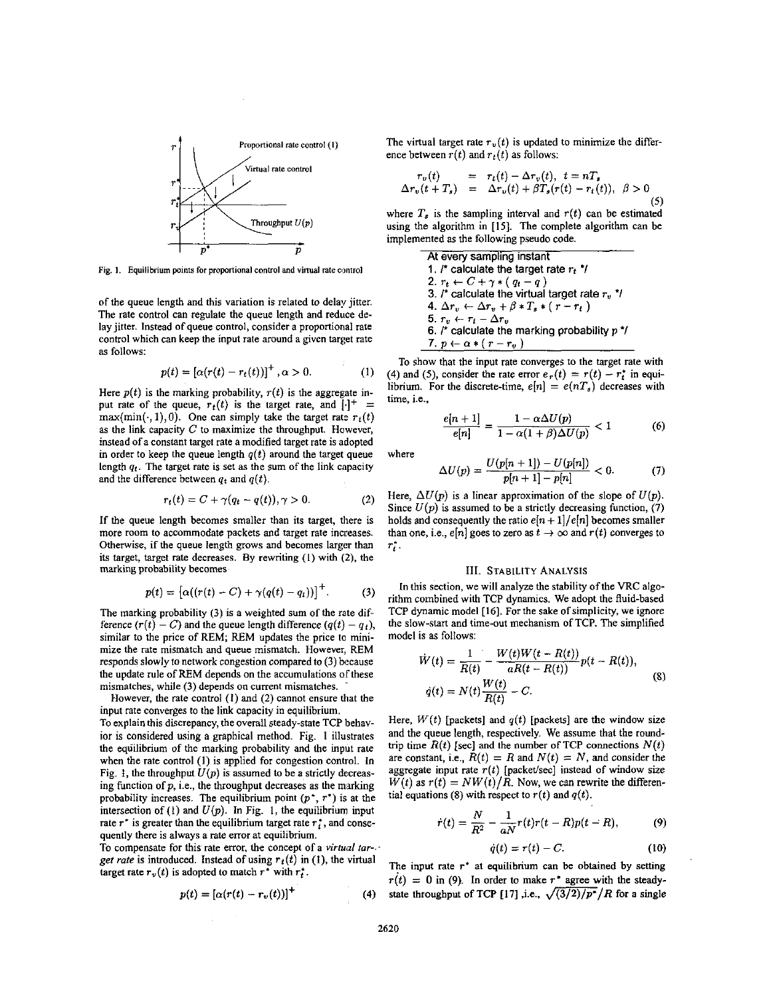

**Fig. 1.** Equilibrium points for proportional control and virtual rate control

of the queue length and this variation is related to delay jitter. The rate control can regulate the queue length and reduce delay jitter. Instead of queue control, consider a proportional rate control which can keep the input rate around a given target rate as follows:

$$
p(t) = [\alpha(r(t) - r_t(t))]^+, \alpha > 0.
$$
 (1)

Here  $p(t)$  is the marking probability,  $r(t)$  is the aggregate input rate of the queue,  $r_t(t)$  is the target rate, and  $|\cdot|^+$  =  $max(min(\cdot, 1), 0)$ . One can simply take the target rate  $r_t(t)$ as the link capacity *C* to maximize the throughput. However, instead of a constant target rate a modified target rate is adopted in order to keep the queue length  $q(t)$  around the target queue length  $q_t$ . The target rate is set as the sum of the link capacity and the difference between  $q_t$  and  $q(t)$ .

$$
r_t(t) = C + \gamma(q_t - q(t)), \gamma > 0.
$$
 (2)

If the queue length becomes smaller than its target, there is more room to accommodate packets and target rate increases. Otherwise, if the queue length grows and becomes larger than its target, target rate decreases. By rewriting (I) with **(2).** the marking probability becomes

$$
p(t) = \big[\alpha((r(t) - C) + \gamma(q(t) - q_t))\big]^+.
$$
 (3)

The marking probability (3) is a weighted sum of the rate difference  $(r(t) - C)$  and the queue length difference  $(q(t) - q_t)$ , similar to the price of REM; REM updates the price to minimize the rate mismatch and queue mismatch. However, REM responds slowly to network congestion compared to (3) because the update rule of REM depends on the accumulations of these mismatches, while (3) depends on current mismatches.

However, the rate control *(1)* and (2) cannot ensure that the input rate converges to the link capacity in equilibrium.

To explain this discrepancy, the overall steady-state TCP behavior is considered using a graphical method. Fig. **1** illustrates the equilibrium of the marking probability and the input rate when the rate control **(I)** is applied for congestion control. In Fig. 1, the throughput  $U(p)$  is assumed to be a strictly decreasing function of  $p$ , i.e., the throughput decreases as the marking probability increases. The equilibrium point  $(p^*, r^*)$  is at the intersection of  $(1)$  and  $U(p)$ . In Fig. 1, the equilibrium input rate  $r^*$  is greater than the equilibrium target rate  $r_t^*$ , and consequently there is always a rate error at equilibrium.

To compensate for this rate error, the concept of a *virtual farget rate* is introduced. Instead of using  $r_t(t)$  in (1), the virtual target rate  $r_v(t)$  is adopted to match  $r^*$  with  $r_t^*$ .

$$
p(t) = \left[\alpha(r(t) - r_v(t))\right]^+(4)
$$

The virtual target rate  $r_v(t)$  is updated to minimize the difference between  $r(t)$  and  $r_t(t)$  as follows:

$$
r_v(t) = r_t(t) - \Delta r_v(t), \quad t = nT_s
$$
  
\n
$$
\Delta r_v(t + T_s) = \Delta r_v(t) + \beta T_s(r(t) - r_t(t)), \quad \beta > 0
$$
\n(5)

where  $T_s$  is the sampling interval and  $r(t)$  can be estimated using the algorithm in **[15].** The complete algorithm can be implemented as the following pseudo code.

> At every sampling instant 1.  *calculate the target rate*  $r_t$ *<sup>\*</sup>/* 2.  $r_t \leftarrow C + \gamma * (q_t - q)$ 3.  $/$ \* calculate the virtual target rate  $r_v$  \*/ **4.**  $\Delta r_v$  ←  $\Delta r_v$  +  $\beta$  \*  $T_s$  \* (  $r - r_t$  ) 5.  $r_u \leftarrow r_t - \Delta r_u$ 6. *r* calculate the marking probability p \*/ 7.  $p \leftarrow \alpha * (r - r_v)$

To show that the input rate converges to the target rate with (4) and (5), consider the rate error  $e_r(t) = r(t) - r_t^*$  in equilibrium. For the discrete-time,  $e[n] = e(nT_s)$  decreases with time, i.e.,

$$
\frac{e[n+1]}{e[n]} = \frac{1 - \alpha \Delta U(p)}{1 - \alpha(1 + \beta)\Delta U(p)} < 1 \tag{6}
$$

where

$$
\Delta U(p) = \frac{U(p[n+1]) - U(p[n])}{p[n+1] - p[n]} < 0. \tag{7}
$$

Here,  $\Delta U(p)$  is a linear approximation of the slope of  $U(p)$ . Since  $U(p)$  is assumed to be a strictly decreasing function, (7) holds and consequently the ratio  $e[n+1]/e[n]$  becomes smaller than one, i.e.,  $e[n]$  goes to zero as  $t \to \infty$  and  $r(t)$  converges to *r;* .

#### **111.** STABILITY ANALYSIS

In this section, we will analyze the stability of the VRC algorithm combined with TCP dynamics. **We** adopt the fluid-based TCP dynamic model [16]. For the sake of simplicity, we ignore the slow-start and time-out mechanism of TCP. The simplified model is **as** follows:

$$
\dot{W}(t) = \frac{1}{R(t)} - \frac{W(t)W(t - R(t))}{aR(t - R(t))}p(t - R(t)),
$$
\n
$$
\dot{q}(t) = N(t)\frac{W(t)}{R(t)} - C.
$$
\n(8)

Here,  $W(t)$  [packets] and  $q(t)$  [packets] are the window size and the queue length, respectively. We assume that the roundtrip time  $R(t)$  [sec] and the number of TCP connections  $N(t)$ are constant, i.e.,  $R(t) = R$  and  $N(t) = N$ , and consider the aggregate input rate  $r(t)$  [packet/sec] instead of window size  $W(t)$  as  $r(t) = NW(t)/R$ . Now, we can rewrite the differen-

$$
\dot{r}(t) = \frac{N}{R^2} - \frac{1}{aN}r(t)r(t - R)p(t - R), \qquad (9)
$$

$$
\dot{q}(t) = r(t) - C. \tag{10}
$$

The input rate *r\** at equilibrium can be obtained by setting  $r(t) = 0$  in (9). In order to make  $r^*$  agree with the steadystate throughput of TCP [17] ,i.e.,  $\sqrt{(3/2)/p^*}/R$  for a single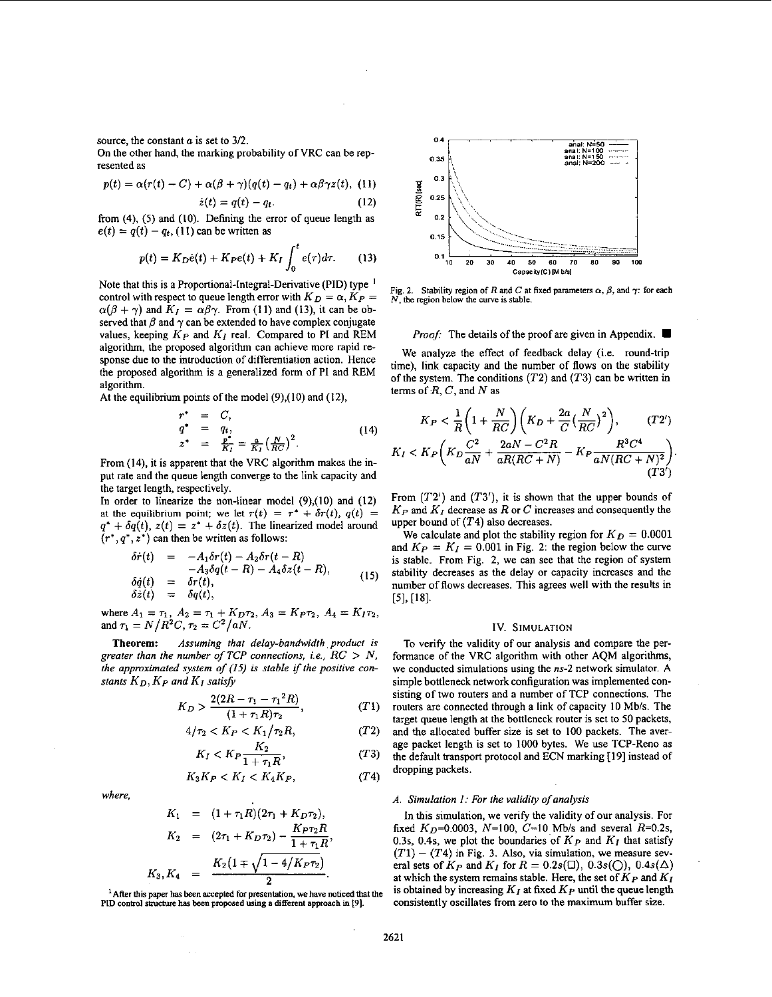source, the constant *a* is set to *312.* 

**On** the other hand, the marking probability of VRC can be represented as

esented as  

$$
p(t) = \alpha(r(t) - C) + \alpha(\beta + \gamma)(q(t) - q_t) + \alpha\beta\gamma z(t),
$$
 (11)

$$
\dot{z}(t) = q(t) - q_t. \tag{12}
$$

from (4), *(5)* and (10). Defining the error of queue length as  $e(t) = q(t) - q_t$ , (11) can be written as

$$
p(t) = K_D \dot{e}(t) + K_P e(t) + K_I \int_0^t e(\tau) d\tau.
$$
 (13)

Note that this is a Proportional-Integral-Derivative (PID) type ' control with respect to queue length error with  $K_D = \alpha$ ,  $K_P =$  $\alpha(\beta + \gamma)$  and  $K_I = \alpha\beta\gamma$ . From (11) and (13), it can be observed that  $\beta$  and  $\gamma$  can be extended to have complex conjugate values, keeping *Kp* and *KI* real. Compared to PI and REM algorithm, the proposed algorithm can achieve more rapid response due to the introduction of differentiation action. Hence the proposed algorithm is a generalized form of PI and REM algorithm.

At the equilibrium points of the model (9),(10) and (12),

$$
r^* = C,
$$
  
\n
$$
q^* = q_t,
$$
  
\n
$$
z^* = \frac{p^*}{K_I} = \frac{a}{K_I} \left(\frac{N}{RC}\right)^2.
$$
\n(14)

From **(14),** it is apparent that the VRC algorithm makes the input rate and the queue length converge to the link capacity and the target length, respectively.

In order to linearize the non-linear model (9),(l0) and **(12)**  at the equilibrium point; we let  $r(t) = r^* + \delta r(t)$ ,  $q(t) =$  $q^* + \delta q(t)$ ,  $z(t) = z^* + \delta z(t)$ . The linearized model around

$$
(r^*, q^*, z^*)
$$
 can then be written as follows:  
\n
$$
\delta \dot{r}(t) = -A_1 \delta r(t) - A_2 \delta r(t - R)
$$
\n
$$
-A_3 \delta q(t - R) - A_4 \delta z(t - R),
$$
\n
$$
\delta \dot{q}(t) = \delta r(t),
$$
\n
$$
\delta \dot{z}(t) = \delta q(t),
$$
\n(15)

where  $A_1 = \tau_1$ ,  $A_2 = \tau_1 + K_D \tau_2$ ,  $A_3 = K_P \tau_2$ ,  $A_4 = K_I \tau_2$ , and  $\tau_1 = N/R^2C$ ,  $\tau_2 = C^2/aN$ .

*Assuming that delay-bandwidth product is greater than the number of TCP connections, i.e.,*  $RC > N$ *. the approximated system of (15) is stable if the positive constants*  $K_D$ ,  $K_P$  *and*  $K_I$  *satisfy* **Theorem:** 

$$
K_D > \frac{2(2R - \tau_1 - \tau_1^2 R)}{(1 + \tau_1 R)\tau_2},
$$
 (T1)

$$
4/\tau_2 < K_P < K_1/\tau_2 R,\tag{T2}
$$

$$
K_I < K_P \frac{K_2}{1 + \tau_1 R},\tag{T3}
$$

$$
K_3K_P < K_I < K_4K_P,\tag{T4}
$$

*where,* 

$$
K_1 = (1 + \tau_1 R)(2\tau_1 + K_D \tau_2),
$$
  
\n
$$
K_2 = (2\tau_1 + K_D \tau_2) - \frac{K_P \tau_2 R}{1 + \tau_1 R},
$$
  
\n
$$
K_3, K_4 = \frac{K_2 (1 \mp \sqrt{1 - 4/K_P \tau_2})}{2}.
$$

 $1$  After this paper has been accepted for presentation, we have noticed that the PID control structure has been proposed using a different approach in [9].



**Fig. 2.** Stability region of *R* and *C* at fixed parameters  $\alpha$ ,  $\beta$ , and  $\gamma$ : for each *N.* **the region below the** *cuwe* **is stable.** 

### *Proof:* The details of the proof are given in Appendix.

We analyze the effect of feedback delay (i.e. round-trip time), link capacity and the number of flows on the stability of the system. The conditions *(T2)* and *(T3)* can be written in terms of *R,* C, and *N* as

$$
K_P < \frac{1}{R} \left( 1 + \frac{N}{RC} \right) \left( K_D + \frac{2a}{C} \left( \frac{N}{RC} \right)^2 \right), \qquad (T2')
$$
\n
$$
K_P \left( K_D \frac{C^2}{r} + \frac{2aN - C^2R}{r} - K_P \frac{R^3 C^4}{r} \right)
$$

$$
K_{I} < K_{P} \left( K_{D} \frac{C^{2}}{aN} + \frac{2aN - C^{2}R}{aR(RC + N)} - K_{P} \frac{R^{3}C^{4}}{aN(RC + N)^{2}} \right). \tag{T3'}
$$

From  $(T2')$  and  $(T3')$ , it is shown that the upper bounds of *Kp* and *KI* decrease as *R* or C increases and consequently the upper bound of *(T4)* also decreases.

We calculate and plot the stability region for  $K_D = 0.0001$ and  $K_P = K_I = 0.001$  in Fig. 2: the region below the curve is stable. From Fig. 2, we can see that the region of system stability decreases as the delay or capacity increases and the number of flows decreases. This agrees well with the results in **[SI, [IS].** 

### Iv. **SIMULATION**

To verify the validity of our analysis and compare the performance of the VRC algorithm with other AQM algorithms, we conducted simulations using the ns-2 network simulator. **A**  simple bottleneck network configuration was implemented consisting of two routers and a number of TCP connections. The routers are connected through a link of capacity **IO** Mbls. The target queue length at the bottleneck router is set to **50** packets, and the allocated buffer size is set to 100 packets. The average packet length is set to 1000 bytes. We use TCP-Reno as the default transport protocol and ECN marking **[I91** instead of dropping packets.

## *A. Simulation I: For the validity ojanalysis*

In this simulation, we verify the validity of our analysis. For fixed  $K_D$ =0.0003,  $N=100$ ,  $C=10$  Mb/s and several  $R=0.2$ s, 0.3s, 0.4s, we plot the boundaries of  $K_P$  and  $K_I$  that satisfy  $(T1) - (T4)$  in Fig. 3. Also, via simulation, we measure several sets of  $K_P$  and  $K_I$  for  $R = 0.2s(\Box)$ ,  $0.3s(\Diamond)$ ,  $0.4s(\Delta)$ at which the system remains stable. Here, the set of  $K_P$  and  $K_I$  is obtained by increasing  $K_I$  at fixed  $K_P$  until the queue length consistently oscillates from zero to the maximum buffer size.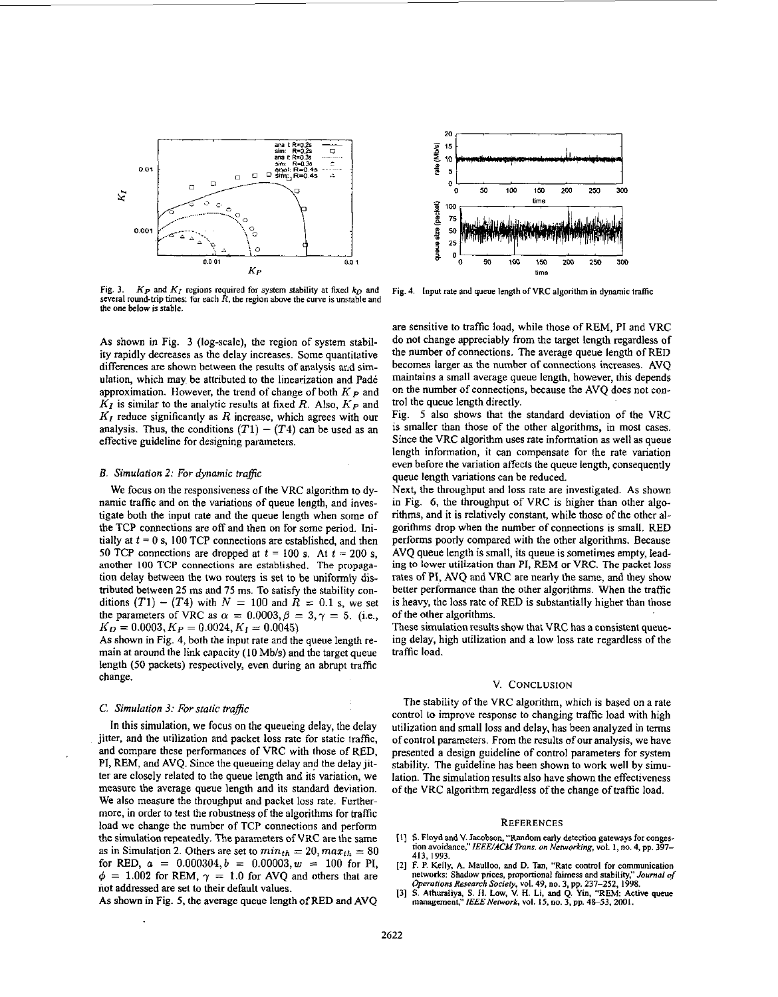

Fig. 3.  $K_P$  and  $K_I$  regions required for system stability at fixed  $k_D$  and **several round-tnp times: for each** *R,* **the region above the fuwe is unittable** and **the one below is stable.** 

As shown in Fig. 3 (log-scale), the region of system stability rapidly decreases as the delay increases. Some quantitative differences are shown between the results of analysis and simulation, which may be attributed to the linearization and Padé approximation. However, the trend of change of both  $K_{\mathcal{P}}$  and *KI* is similar to the analytic results at fixed R. Also, *Kp* and *KI* reduce significantly as R increase, which agrees with our analysis. Thus, the conditions  $(T1) - (T4)$  can be used as an effective guideline for designing parameters.

# *B.* Simulation 2: For dynamic traffic

We focus on the responsiveness of the VRC algorithm to dynamic traffic and on the variations of queue length, and investigate both the input rate and the queue length when some of the TCP connections are off and then on for some period. Initially at  $t = 0$  s, 100 TCP connections are established, and then 50 TCP connections are dropped at  $t = 100$  s. At  $t = 200$  s, another **100 TCP** connections **are** established. The **propaga**tion delay between the two routers is set to be uniformly distributed between 25 ms and 75 ms. To satisfy the stability conditions  $(T1) - (T4)$  with  $N = 100$  and  $R = 0.1$  s, we set the parameters of VRC as  $\alpha = 0.0003$ ,  $\beta = 3$ ,  $\gamma = 5$ . (i.e.,  $K_D = 0.0003, K_P = 0.0024, K_I = 0.0045$ 

AS shown in Fig. **4,** both the input rate and the queue length remain at around the link capacity (10 Mb/s) and the target queue length (50 packets) respectively, even during an abrupt traffic change.

## *C.* Simulation 3: *For* static *traftfc*

In this simulation, we focus on the queueing delay, the delay jitter, and the utilization and packet loss rate for static iraffic, and compare these performances of VRC with those of RED, PI, REM, and AVQ. Since the queueing delay and the delay jitter are closely related to the queue length and its variation, we measure the average queue length and its standard deviation. We also measure the throughput and packet loss rate. Furthermore, in order to test the robustness of the algorithms for traffic load we change the number of TCP connections and perform the simulation repeatedly. The parameten of VRC are the same as in Simulation 2. Others are set to  $min_{th} = 20, max_{th} = 80$ for RED,  $a = 0.000304, b = 0.00003, w = 100$  for PI,  $\phi$  = 1.002 for REM,  $\gamma$  = 1.0 for AVQ and others that are not addressed **are** set to their default values.

As shown in Fig. *5,* the average queue length of RED and AVQ



Fig. 4. Input rate and queue length of VRC algorithm in dynamic traffic

are sensitive to traffic load, while those of REM, PI and VRC do not change appreciably from the target length regardless of the number of connections. The average queue length of RED becomes larger **as** the number of oomections increases. AVQ maintains a small average queue length, however, this depends on the number of connections, because the AVQ does not control the queue length directly.

Fig. *5* also shows that the standard deviation of the VRC is smaller than those of the other algorithms, in most cases. Since the VRC algorithm uses rate infomation as well as queue length information, it can compensate for the rate variation even before the variation affects the queue length, consequently queue length variations can be reduced.

Next, the throughput and loss rate are investigated. As shown in Fig. 6, the throughput of VRC is higher than other algorithms, and it is relatively constant, while those of the other algorithms drop when the number of connections is small. RED performs poorly compared with the other algorithms. Because AVQ queue length is small, its queue is sometimes empty, leading **to** lower utilization than PI, REM or VRC. The packet loss rates of PI, AVQ and VRC are nearly the same, and they show better performance than the other algorithms. When the traffic is heavy, the loss rate of RED is substantially higher than those of the other algorithms.

These simulation results show that VRC has a consistent queueing delay, high utilization and a low loss rate regardless of the traffic load.

## V. CONCLUSION

The stability of the VRC algorithm, which is based on a rate control to improve response to changing traffic load with high utilization and small loss and delay, has been analyzed in terms of control parameters. From the results of our analysis, we have presented a design guideline of control parameters for system stability. The guideline has been shown to work well by simulation. The simulation results also have shown the effectiveness of the VRC algorithm regardless of the change of traffic load.

#### **REFERENCES**

- **[I]** *S.* **Floyd and V. Jacobsm,"Rmdom early detection gateways far conges- non avoidance,"IEEE/ACM** *Trans. on Nelworhg,* **vol. I, no. 4, pp. 397- 413, 1993.**
- [2] F. P. Kelly, A. Maulloo, and D. Tan, "Rate control for communication networks: Shadow prices, proportional fairness and stability," Journal of Operations Research Society, vol. 49, no. 3, pp. 237-252, 1998.
- *manaprment:'lEEENerwork,* **vol. l5,no. 3,pp.4&53, 2001. 131 S. Alhuraliya, S. H.** Low, V. H. **Li, and Q. Yin, "REM Active queue**